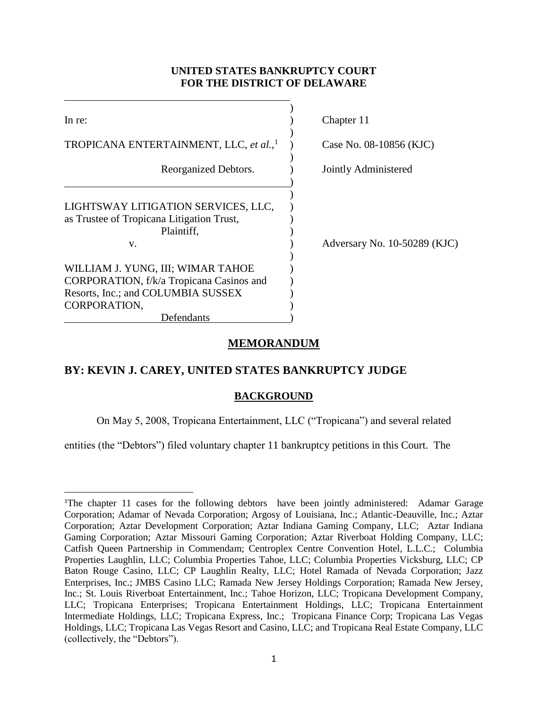# **UNITED STATES BANKRUPTCY COURT FOR THE DISTRICT OF DELAWARE**

| In re:                                                                                                                                                                                                                                                    | Chapter 11                   |
|-----------------------------------------------------------------------------------------------------------------------------------------------------------------------------------------------------------------------------------------------------------|------------------------------|
| TROPICANA ENTERTAINMENT, LLC, et al., <sup>1</sup>                                                                                                                                                                                                        | Case No. 08-10856 (KJC)      |
| Reorganized Debtors.                                                                                                                                                                                                                                      | Jointly Administered         |
| LIGHTSWAY LITIGATION SERVICES, LLC,<br>as Trustee of Tropicana Litigation Trust,<br>Plaintiff.<br>V.<br>WILLIAM J. YUNG, III; WIMAR TAHOE<br>CORPORATION, f/k/a Tropicana Casinos and<br>Resorts, Inc.; and COLUMBIA SUSSEX<br>CORPORATION,<br>Defendants | Adversary No. 10-50289 (KJC) |

# **MEMORANDUM**

# **BY: KEVIN J. CAREY, UNITED STATES BANKRUPTCY JUDGE**

 $\overline{\phantom{a}}$ 

### **BACKGROUND**

On May 5, 2008, Tropicana Entertainment, LLC ("Tropicana") and several related

entities (the "Debtors") filed voluntary chapter 11 bankruptcy petitions in this Court. The

<sup>1</sup>The chapter 11 cases for the following debtors have been jointly administered: Adamar Garage Corporation; Adamar of Nevada Corporation; Argosy of Louisiana, Inc.; Atlantic-Deauville, Inc.; Aztar Corporation; Aztar Development Corporation; Aztar Indiana Gaming Company, LLC; Aztar Indiana Gaming Corporation; Aztar Missouri Gaming Corporation; Aztar Riverboat Holding Company, LLC; Catfish Queen Partnership in Commendam; Centroplex Centre Convention Hotel, L.L.C.; Columbia Properties Laughlin, LLC; Columbia Properties Tahoe, LLC; Columbia Properties Vicksburg, LLC; CP Baton Rouge Casino, LLC; CP Laughlin Realty, LLC; Hotel Ramada of Nevada Corporation; Jazz Enterprises, Inc.; JMBS Casino LLC; Ramada New Jersey Holdings Corporation; Ramada New Jersey, Inc.; St. Louis Riverboat Entertainment, Inc.; Tahoe Horizon, LLC; Tropicana Development Company, LLC; Tropicana Enterprises; Tropicana Entertainment Holdings, LLC; Tropicana Entertainment Intermediate Holdings, LLC; Tropicana Express, Inc.; Tropicana Finance Corp; Tropicana Las Vegas Holdings, LLC; Tropicana Las Vegas Resort and Casino, LLC; and Tropicana Real Estate Company, LLC (collectively, the "Debtors").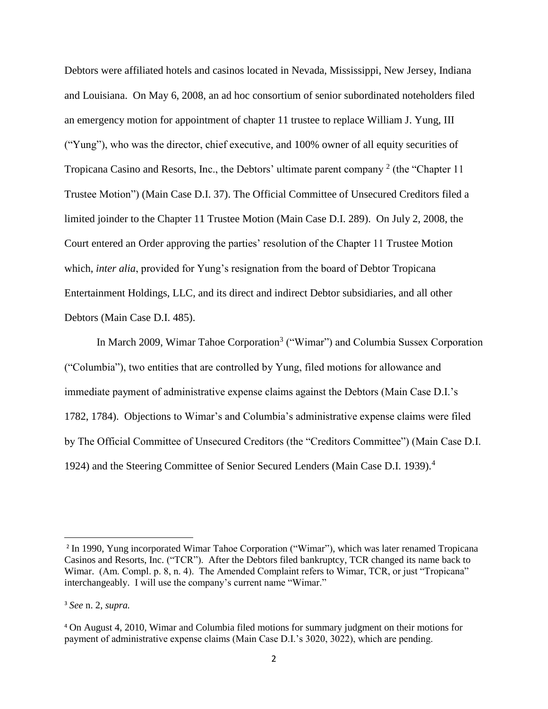Debtors were affiliated hotels and casinos located in Nevada, Mississippi, New Jersey, Indiana and Louisiana. On May 6, 2008, an ad hoc consortium of senior subordinated noteholders filed an emergency motion for appointment of chapter 11 trustee to replace William J. Yung, III ("Yung"), who was the director, chief executive, and 100% owner of all equity securities of Tropicana Casino and Resorts, Inc., the Debtors' ultimate parent company  $2$  (the "Chapter 11 Trustee Motion") (Main Case D.I. 37). The Official Committee of Unsecured Creditors filed a limited joinder to the Chapter 11 Trustee Motion (Main Case D.I. 289). On July 2, 2008, the Court entered an Order approving the parties' resolution of the Chapter 11 Trustee Motion which, *inter alia*, provided for Yung's resignation from the board of Debtor Tropicana Entertainment Holdings, LLC, and its direct and indirect Debtor subsidiaries, and all other Debtors (Main Case D.I. 485).

In March 2009, Wimar Tahoe Corporation<sup>3</sup> ("Wimar") and Columbia Sussex Corporation ("Columbia"), two entities that are controlled by Yung, filed motions for allowance and immediate payment of administrative expense claims against the Debtors (Main Case D.I.'s 1782, 1784). Objections to Wimar's and Columbia's administrative expense claims were filed by The Official Committee of Unsecured Creditors (the "Creditors Committee") (Main Case D.I. 1924) and the Steering Committee of Senior Secured Lenders (Main Case D.I. 1939).<sup>4</sup>

<sup>&</sup>lt;sup>2</sup> In 1990, Yung incorporated Wimar Tahoe Corporation ("Wimar"), which was later renamed Tropicana Casinos and Resorts, Inc. ("TCR"). After the Debtors filed bankruptcy, TCR changed its name back to Wimar. (Am. Compl. p. 8, n. 4). The Amended Complaint refers to Wimar, TCR, or just "Tropicana" interchangeably. I will use the company's current name "Wimar."

<sup>3</sup> *See* n. 2, *supra.*

<sup>4</sup> On August 4, 2010, Wimar and Columbia filed motions for summary judgment on their motions for payment of administrative expense claims (Main Case D.I.'s 3020, 3022), which are pending.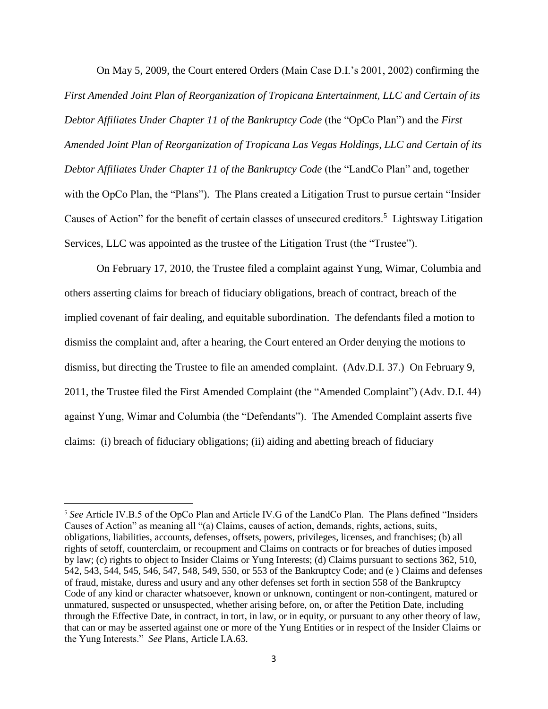On May 5, 2009, the Court entered Orders (Main Case D.I.'s 2001, 2002) confirming the *First Amended Joint Plan of Reorganization of Tropicana Entertainment, LLC and Certain of its Debtor Affiliates Under Chapter 11 of the Bankruptcy Code* (the "OpCo Plan") and the *First Amended Joint Plan of Reorganization of Tropicana Las Vegas Holdings, LLC and Certain of its Debtor Affiliates Under Chapter 11 of the Bankruptcy Code* (the "LandCo Plan" and, together with the OpCo Plan, the "Plans"). The Plans created a Litigation Trust to pursue certain "Insider Causes of Action" for the benefit of certain classes of unsecured creditors.<sup>5</sup> Lightsway Litigation Services, LLC was appointed as the trustee of the Litigation Trust (the "Trustee").

On February 17, 2010, the Trustee filed a complaint against Yung, Wimar, Columbia and others asserting claims for breach of fiduciary obligations, breach of contract, breach of the implied covenant of fair dealing, and equitable subordination. The defendants filed a motion to dismiss the complaint and, after a hearing, the Court entered an Order denying the motions to dismiss, but directing the Trustee to file an amended complaint. (Adv.D.I. 37.) On February 9, 2011, the Trustee filed the First Amended Complaint (the "Amended Complaint") (Adv. D.I. 44) against Yung, Wimar and Columbia (the "Defendants"). The Amended Complaint asserts five claims: (i) breach of fiduciary obligations; (ii) aiding and abetting breach of fiduciary

l

<sup>5</sup> *See* Article IV.B.5 of the OpCo Plan and Article IV.G of the LandCo Plan. The Plans defined "Insiders Causes of Action" as meaning all "(a) Claims, causes of action, demands, rights, actions, suits, obligations, liabilities, accounts, defenses, offsets, powers, privileges, licenses, and franchises; (b) all rights of setoff, counterclaim, or recoupment and Claims on contracts or for breaches of duties imposed by law; (c) rights to object to Insider Claims or Yung Interests; (d) Claims pursuant to sections 362, 510, 542, 543, 544, 545, 546, 547, 548, 549, 550, or 553 of the Bankruptcy Code; and (e ) Claims and defenses of fraud, mistake, duress and usury and any other defenses set forth in section 558 of the Bankruptcy Code of any kind or character whatsoever, known or unknown, contingent or non-contingent, matured or unmatured, suspected or unsuspected, whether arising before, on, or after the Petition Date, including through the Effective Date, in contract, in tort, in law, or in equity, or pursuant to any other theory of law, that can or may be asserted against one or more of the Yung Entities or in respect of the Insider Claims or the Yung Interests." *See* Plans, Article I.A.63.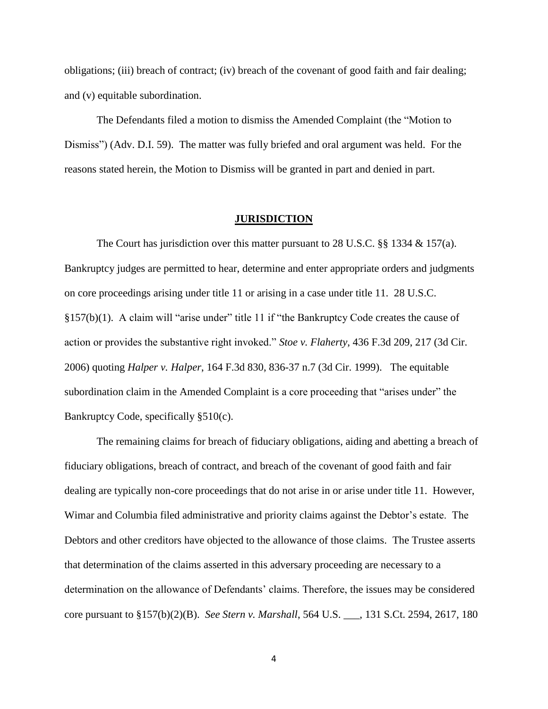obligations; (iii) breach of contract; (iv) breach of the covenant of good faith and fair dealing; and (v) equitable subordination.

The Defendants filed a motion to dismiss the Amended Complaint (the "Motion to Dismiss") (Adv. D.I. 59). The matter was fully briefed and oral argument was held. For the reasons stated herein, the Motion to Dismiss will be granted in part and denied in part.

#### **JURISDICTION**

The Court has jurisdiction over this matter pursuant to 28 U.S.C. §§ 1334  $\&$  157(a). Bankruptcy judges are permitted to hear, determine and enter appropriate orders and judgments on core proceedings arising under title 11 or arising in a case under title 11. 28 U.S.C.  $§157(b)(1)$ . A claim will "arise under" title 11 if "the Bankruptcy Code creates the cause of action or provides the substantive right invoked." *Stoe v. Flaherty*, 436 F.3d 209, 217 (3d Cir. 2006) quoting *Halper v. Halper*, 164 F.3d 830, 836-37 n.7 (3d Cir. 1999). The equitable subordination claim in the Amended Complaint is a core proceeding that "arises under" the Bankruptcy Code, specifically §510(c).

The remaining claims for breach of fiduciary obligations, aiding and abetting a breach of fiduciary obligations, breach of contract, and breach of the covenant of good faith and fair dealing are typically non-core proceedings that do not arise in or arise under title 11. However, Wimar and Columbia filed administrative and priority claims against the Debtor's estate. The Debtors and other creditors have objected to the allowance of those claims. The Trustee asserts that determination of the claims asserted in this adversary proceeding are necessary to a determination on the allowance of Defendants' claims. Therefore, the issues may be considered core pursuant to §157(b)(2)(B). *See Stern v. Marshall*, 564 U.S. \_\_\_, 131 S.Ct. 2594, 2617, 180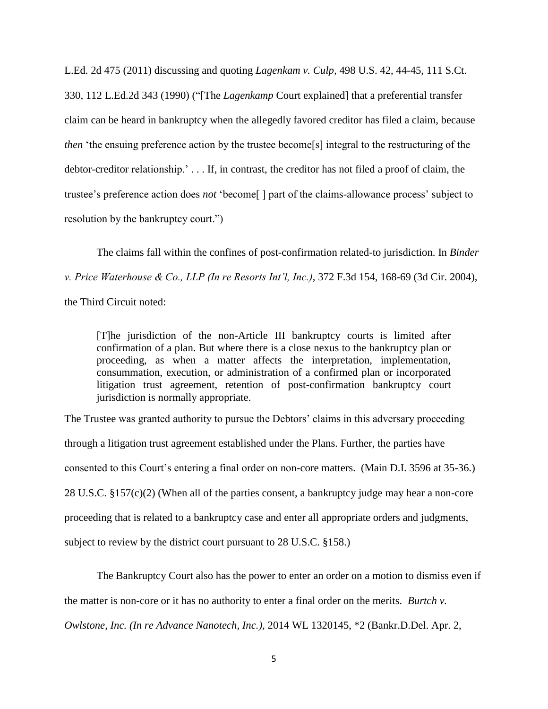L.Ed. 2d 475 (2011) discussing and quoting *Lagenkam v. Culp,* 498 U.S. 42, 44-45, 111 S.Ct. 330, 112 L.Ed.2d 343 (1990) ("[The *Lagenkamp* Court explained] that a preferential transfer claim can be heard in bankruptcy when the allegedly favored creditor has filed a claim, because *then* 'the ensuing preference action by the trustee become<sup>[s]</sup> integral to the restructuring of the debtor-creditor relationship.' . . . If, in contrast, the creditor has not filed a proof of claim, the trustee's preference action does *not* 'become[ ] part of the claims-allowance process' subject to resolution by the bankruptcy court.")

The claims fall within the confines of post-confirmation related-to jurisdiction. In *Binder v. Price Waterhouse & Co., LLP (In re Resorts Int'l, Inc.)*, 372 F.3d 154, 168-69 (3d Cir. 2004), the Third Circuit noted:

[T]he jurisdiction of the non-Article III bankruptcy courts is limited after confirmation of a plan. But where there is a close nexus to the bankruptcy plan or proceeding, as when a matter affects the interpretation, implementation, consummation, execution, or administration of a confirmed plan or incorporated litigation trust agreement, retention of post-confirmation bankruptcy court jurisdiction is normally appropriate.

The Trustee was granted authority to pursue the Debtors' claims in this adversary proceeding through a litigation trust agreement established under the Plans. Further, the parties have consented to this Court's entering a final order on non-core matters. (Main D.I. 3596 at 35-36.) 28 U.S.C. §157(c)(2) (When all of the parties consent, a bankruptcy judge may hear a non-core proceeding that is related to a bankruptcy case and enter all appropriate orders and judgments, subject to review by the district court pursuant to 28 U.S.C. §158.)

The Bankruptcy Court also has the power to enter an order on a motion to dismiss even if the matter is non-core or it has no authority to enter a final order on the merits. *Burtch v. Owlstone, Inc. (In re Advance Nanotech, Inc.),* 2014 WL 1320145, \*2 (Bankr.D.Del. Apr. 2,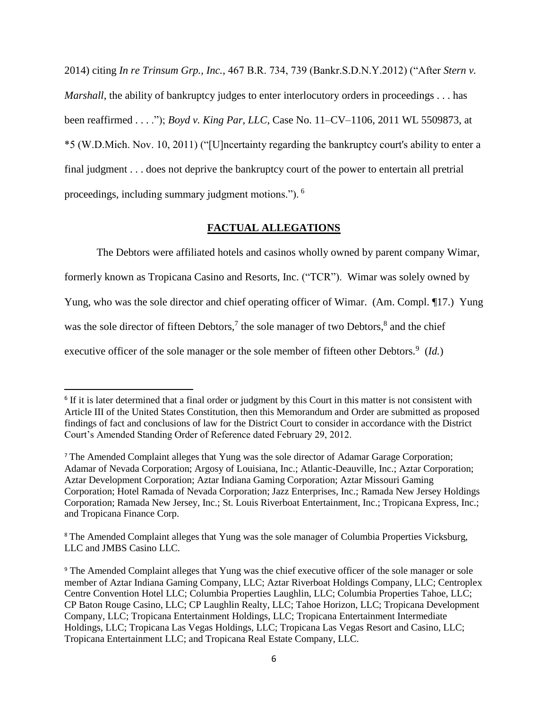2014) citing *In re Trinsum Grp., Inc.,* 467 B.R. 734, 739 (Bankr.S.D.N.Y.2012) ("After *Stern v. Marshall*, the ability of bankruptcy judges to enter interlocutory orders in proceedings . . . has been reaffirmed . . . ."); *Boyd v. King Par, LLC,* Case No. 11–CV–1106, 2011 WL 5509873, at \*5 (W.D.Mich. Nov. 10, 2011) ("[U]ncertainty regarding the bankruptcy court's ability to enter a final judgment . . . does not deprive the bankruptcy court of the power to entertain all pretrial proceedings, including summary judgment motions."). <sup>6</sup>

### **FACTUAL ALLEGATIONS**

The Debtors were affiliated hotels and casinos wholly owned by parent company Wimar, formerly known as Tropicana Casino and Resorts, Inc. ("TCR"). Wimar was solely owned by Yung, who was the sole director and chief operating officer of Wimar. (Am. Compl. 17.) Yung was the sole director of fifteen Debtors,<sup>7</sup> the sole manager of two Debtors, $\delta$  and the chief

executive officer of the sole manager or the sole member of fifteen other Debtors.<sup>9</sup> (*Id.*)

<sup>&</sup>lt;sup>6</sup> If it is later determined that a final order or judgment by this Court in this matter is not consistent with Article III of the United States Constitution, then this Memorandum and Order are submitted as proposed findings of fact and conclusions of law for the District Court to consider in accordance with the District Court's Amended Standing Order of Reference dated February 29, 2012.

<sup>7</sup> The Amended Complaint alleges that Yung was the sole director of Adamar Garage Corporation; Adamar of Nevada Corporation; Argosy of Louisiana, Inc.; Atlantic-Deauville, Inc.; Aztar Corporation; Aztar Development Corporation; Aztar Indiana Gaming Corporation; Aztar Missouri Gaming Corporation; Hotel Ramada of Nevada Corporation; Jazz Enterprises, Inc.; Ramada New Jersey Holdings Corporation; Ramada New Jersey, Inc.; St. Louis Riverboat Entertainment, Inc.; Tropicana Express, Inc.; and Tropicana Finance Corp.

<sup>&</sup>lt;sup>8</sup> The Amended Complaint alleges that Yung was the sole manager of Columbia Properties Vicksburg, LLC and JMBS Casino LLC.

<sup>&</sup>lt;sup>9</sup> The Amended Complaint alleges that Yung was the chief executive officer of the sole manager or sole member of Aztar Indiana Gaming Company, LLC; Aztar Riverboat Holdings Company, LLC; Centroplex Centre Convention Hotel LLC; Columbia Properties Laughlin, LLC; Columbia Properties Tahoe, LLC; CP Baton Rouge Casino, LLC; CP Laughlin Realty, LLC; Tahoe Horizon, LLC; Tropicana Development Company, LLC; Tropicana Entertainment Holdings, LLC; Tropicana Entertainment Intermediate Holdings, LLC; Tropicana Las Vegas Holdings, LLC; Tropicana Las Vegas Resort and Casino, LLC; Tropicana Entertainment LLC; and Tropicana Real Estate Company, LLC.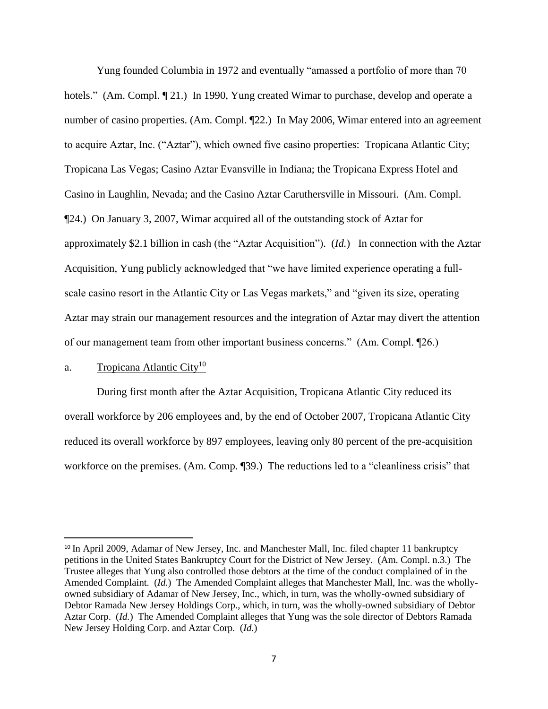Yung founded Columbia in 1972 and eventually "amassed a portfolio of more than 70 hotels." (Am. Compl.  $\llbracket 21.$ ) In 1990, Yung created Wimar to purchase, develop and operate a number of casino properties. (Am. Compl.  $\P$ 22.) In May 2006, Wimar entered into an agreement to acquire Aztar, Inc. ("Aztar"), which owned five casino properties: Tropicana Atlantic City; Tropicana Las Vegas; Casino Aztar Evansville in Indiana; the Tropicana Express Hotel and Casino in Laughlin, Nevada; and the Casino Aztar Caruthersville in Missouri. (Am. Compl. ¶24.) On January 3, 2007, Wimar acquired all of the outstanding stock of Aztar for approximately \$2.1 billion in cash (the "Aztar Acquisition"). (*Id.*) In connection with the Aztar Acquisition, Yung publicly acknowledged that "we have limited experience operating a fullscale casino resort in the Atlantic City or Las Vegas markets," and "given its size, operating Aztar may strain our management resources and the integration of Aztar may divert the attention of our management team from other important business concerns." (Am. Compl. ¶26.)

### a. Tropicana Atlantic City<sup>10</sup>

l

During first month after the Aztar Acquisition, Tropicana Atlantic City reduced its overall workforce by 206 employees and, by the end of October 2007, Tropicana Atlantic City reduced its overall workforce by 897 employees, leaving only 80 percent of the pre-acquisition workforce on the premises. (Am. Comp. [39.) The reductions led to a "cleanliness crisis" that

<sup>&</sup>lt;sup>10</sup> In April 2009, Adamar of New Jersey, Inc. and Manchester Mall, Inc. filed chapter 11 bankruptcy petitions in the United States Bankruptcy Court for the District of New Jersey. (Am. Compl. n.3.) The Trustee alleges that Yung also controlled those debtors at the time of the conduct complained of in the Amended Complaint. (*Id.*) The Amended Complaint alleges that Manchester Mall, Inc. was the whollyowned subsidiary of Adamar of New Jersey, Inc., which, in turn, was the wholly-owned subsidiary of Debtor Ramada New Jersey Holdings Corp., which, in turn, was the wholly-owned subsidiary of Debtor Aztar Corp. (*Id.*) The Amended Complaint alleges that Yung was the sole director of Debtors Ramada New Jersey Holding Corp. and Aztar Corp. (*Id.*)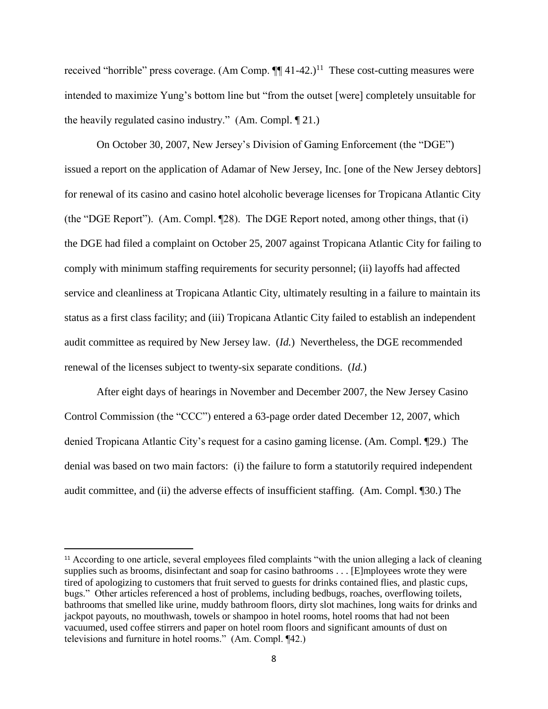received "horrible" press coverage. (Am Comp.  $\P\P$  41-42.)<sup>11</sup> These cost-cutting measures were intended to maximize Yung's bottom line but "from the outset [were] completely unsuitable for the heavily regulated casino industry." (Am. Compl. ¶ 21.)

On October 30, 2007, New Jersey's Division of Gaming Enforcement (the "DGE") issued a report on the application of Adamar of New Jersey, Inc. [one of the New Jersey debtors] for renewal of its casino and casino hotel alcoholic beverage licenses for Tropicana Atlantic City (the "DGE Report"). (Am. Compl. ¶28). The DGE Report noted, among other things, that (i) the DGE had filed a complaint on October 25, 2007 against Tropicana Atlantic City for failing to comply with minimum staffing requirements for security personnel; (ii) layoffs had affected service and cleanliness at Tropicana Atlantic City, ultimately resulting in a failure to maintain its status as a first class facility; and (iii) Tropicana Atlantic City failed to establish an independent audit committee as required by New Jersey law. (*Id.*) Nevertheless, the DGE recommended renewal of the licenses subject to twenty-six separate conditions. (*Id.*)

After eight days of hearings in November and December 2007, the New Jersey Casino Control Commission (the "CCC") entered a 63-page order dated December 12, 2007, which denied Tropicana Atlantic City's request for a casino gaming license. (Am. Compl. ¶29.) The denial was based on two main factors: (i) the failure to form a statutorily required independent audit committee, and (ii) the adverse effects of insufficient staffing. (Am. Compl. ¶30.) The

<sup>&</sup>lt;sup>11</sup> According to one article, several employees filed complaints "with the union alleging a lack of cleaning supplies such as brooms, disinfectant and soap for casino bathrooms . . . [E]mployees wrote they were tired of apologizing to customers that fruit served to guests for drinks contained flies, and plastic cups, bugs." Other articles referenced a host of problems, including bedbugs, roaches, overflowing toilets, bathrooms that smelled like urine, muddy bathroom floors, dirty slot machines, long waits for drinks and jackpot payouts, no mouthwash, towels or shampoo in hotel rooms, hotel rooms that had not been vacuumed, used coffee stirrers and paper on hotel room floors and significant amounts of dust on televisions and furniture in hotel rooms." (Am. Compl. ¶42.)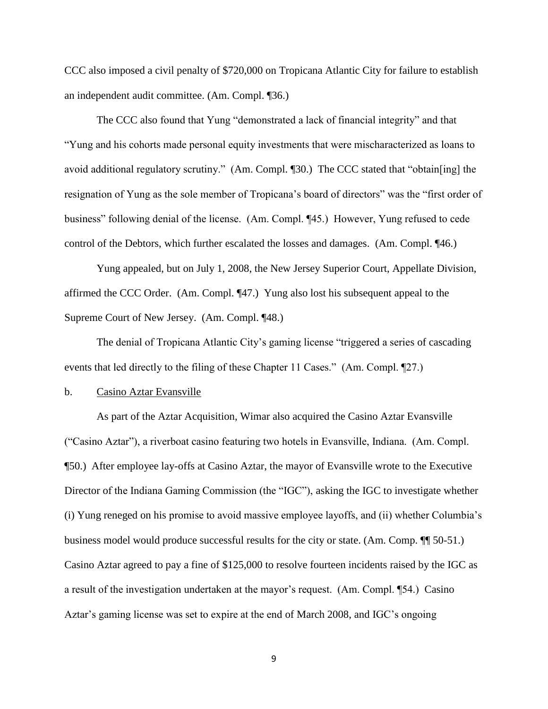CCC also imposed a civil penalty of \$720,000 on Tropicana Atlantic City for failure to establish an independent audit committee. (Am. Compl. ¶36.)

The CCC also found that Yung "demonstrated a lack of financial integrity" and that "Yung and his cohorts made personal equity investments that were mischaracterized as loans to avoid additional regulatory scrutiny." (Am. Compl. ¶30.) The CCC stated that "obtain[ing] the resignation of Yung as the sole member of Tropicana's board of directors" was the "first order of business" following denial of the license. (Am. Compl. ¶45.) However, Yung refused to cede control of the Debtors, which further escalated the losses and damages. (Am. Compl. ¶46.)

Yung appealed, but on July 1, 2008, the New Jersey Superior Court, Appellate Division, affirmed the CCC Order. (Am. Compl. ¶47.) Yung also lost his subsequent appeal to the Supreme Court of New Jersey. (Am. Compl. ¶48.)

The denial of Tropicana Atlantic City's gaming license "triggered a series of cascading events that led directly to the filing of these Chapter 11 Cases." (Am. Compl. ¶27.)

### b. Casino Aztar Evansville

As part of the Aztar Acquisition, Wimar also acquired the Casino Aztar Evansville ("Casino Aztar"), a riverboat casino featuring two hotels in Evansville, Indiana. (Am. Compl. ¶50.) After employee lay-offs at Casino Aztar, the mayor of Evansville wrote to the Executive Director of the Indiana Gaming Commission (the "IGC"), asking the IGC to investigate whether (i) Yung reneged on his promise to avoid massive employee layoffs, and (ii) whether Columbia's business model would produce successful results for the city or state. (Am. Comp. ¶¶ 50-51.) Casino Aztar agreed to pay a fine of \$125,000 to resolve fourteen incidents raised by the IGC as a result of the investigation undertaken at the mayor's request. (Am. Compl. ¶54.) Casino Aztar's gaming license was set to expire at the end of March 2008, and IGC's ongoing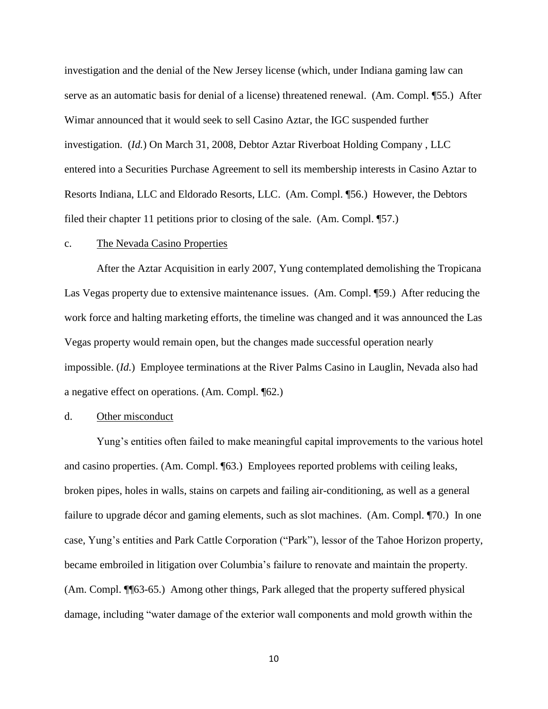investigation and the denial of the New Jersey license (which, under Indiana gaming law can serve as an automatic basis for denial of a license) threatened renewal. (Am. Compl. ¶55.) After Wimar announced that it would seek to sell Casino Aztar, the IGC suspended further investigation. (*Id.*) On March 31, 2008, Debtor Aztar Riverboat Holding Company , LLC entered into a Securities Purchase Agreement to sell its membership interests in Casino Aztar to Resorts Indiana, LLC and Eldorado Resorts, LLC. (Am. Compl. ¶56.) However, the Debtors filed their chapter 11 petitions prior to closing of the sale. (Am. Compl. ¶57.)

#### c. The Nevada Casino Properties

After the Aztar Acquisition in early 2007, Yung contemplated demolishing the Tropicana Las Vegas property due to extensive maintenance issues. (Am. Compl. ¶59.) After reducing the work force and halting marketing efforts, the timeline was changed and it was announced the Las Vegas property would remain open, but the changes made successful operation nearly impossible. (*Id.*) Employee terminations at the River Palms Casino in Lauglin, Nevada also had a negative effect on operations. (Am. Compl. ¶62.)

### d. Other misconduct

Yung's entities often failed to make meaningful capital improvements to the various hotel and casino properties. (Am. Compl. ¶63.) Employees reported problems with ceiling leaks, broken pipes, holes in walls, stains on carpets and failing air-conditioning, as well as a general failure to upgrade décor and gaming elements, such as slot machines. (Am. Compl. ¶70.) In one case, Yung's entities and Park Cattle Corporation ("Park"), lessor of the Tahoe Horizon property, became embroiled in litigation over Columbia's failure to renovate and maintain the property. (Am. Compl. ¶¶63-65.) Among other things, Park alleged that the property suffered physical damage, including "water damage of the exterior wall components and mold growth within the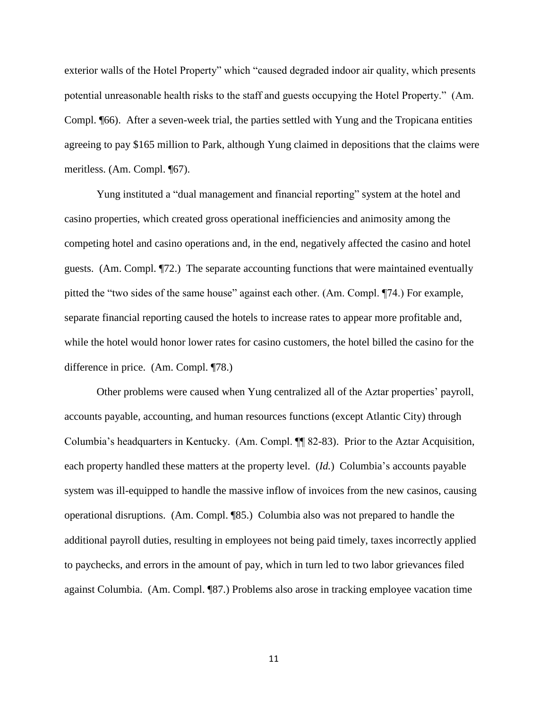exterior walls of the Hotel Property" which "caused degraded indoor air quality, which presents potential unreasonable health risks to the staff and guests occupying the Hotel Property." (Am. Compl. ¶66). After a seven-week trial, the parties settled with Yung and the Tropicana entities agreeing to pay \$165 million to Park, although Yung claimed in depositions that the claims were meritless. (Am. Compl. ¶67).

Yung instituted a "dual management and financial reporting" system at the hotel and casino properties, which created gross operational inefficiencies and animosity among the competing hotel and casino operations and, in the end, negatively affected the casino and hotel guests. (Am. Compl. ¶72.) The separate accounting functions that were maintained eventually pitted the "two sides of the same house" against each other. (Am. Compl. ¶74.) For example, separate financial reporting caused the hotels to increase rates to appear more profitable and, while the hotel would honor lower rates for casino customers, the hotel billed the casino for the difference in price. (Am. Compl. ¶78.)

Other problems were caused when Yung centralized all of the Aztar properties' payroll, accounts payable, accounting, and human resources functions (except Atlantic City) through Columbia's headquarters in Kentucky. (Am. Compl. ¶¶ 82-83). Prior to the Aztar Acquisition, each property handled these matters at the property level. (*Id.*) Columbia's accounts payable system was ill-equipped to handle the massive inflow of invoices from the new casinos, causing operational disruptions. (Am. Compl. ¶85.) Columbia also was not prepared to handle the additional payroll duties, resulting in employees not being paid timely, taxes incorrectly applied to paychecks, and errors in the amount of pay, which in turn led to two labor grievances filed against Columbia. (Am. Compl. ¶87.) Problems also arose in tracking employee vacation time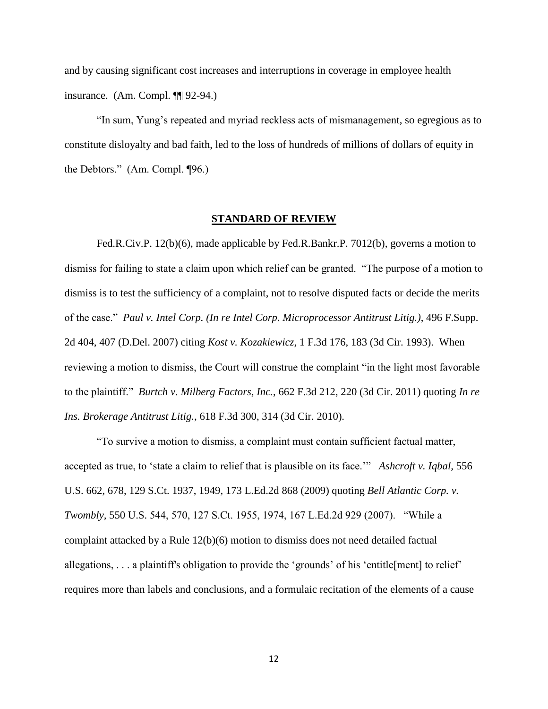and by causing significant cost increases and interruptions in coverage in employee health insurance. (Am. Compl. ¶¶ 92-94.)

"In sum, Yung's repeated and myriad reckless acts of mismanagement, so egregious as to constitute disloyalty and bad faith, led to the loss of hundreds of millions of dollars of equity in the Debtors." (Am. Compl. ¶96.)

#### **STANDARD OF REVIEW**

Fed.R.Civ.P. 12(b)(6), made applicable by Fed.R.Bankr.P. 7012(b), governs a motion to dismiss for failing to state a claim upon which relief can be granted. "The purpose of a motion to dismiss is to test the sufficiency of a complaint, not to resolve disputed facts or decide the merits of the case." *Paul v. Intel Corp. (In re Intel Corp. Microprocessor Antitrust Litig.)*, 496 F.Supp. 2d 404, 407 (D.Del. 2007) citing *Kost v. Kozakiewicz*, 1 F.3d 176, 183 (3d Cir. 1993). When reviewing a motion to dismiss, the Court will construe the complaint "in the light most favorable to the plaintiff." *Burtch v. Milberg Factors, Inc.*, 662 F.3d 212, 220 (3d Cir. 2011) quoting *In re Ins. Brokerage Antitrust Litig.*, 618 F.3d 300, 314 (3d Cir. 2010).

"To survive a motion to dismiss, a complaint must contain sufficient factual matter, accepted as true, to 'state a claim to relief that is plausible on its face.'" *Ashcroft v. Iqbal,* 556 U.S. 662, 678, 129 S.Ct. 1937, 1949, 173 L.Ed.2d 868 (2009) quoting *Bell Atlantic Corp. v. Twombly,* 550 U.S. 544, 570, 127 S.Ct. 1955, 1974, 167 L.Ed.2d 929 (2007). "While a complaint attacked by a Rule 12(b)(6) motion to dismiss does not need detailed factual allegations, . . . a plaintiff's obligation to provide the 'grounds' of his 'entitle[ment] to relief' requires more than labels and conclusions, and a formulaic recitation of the elements of a cause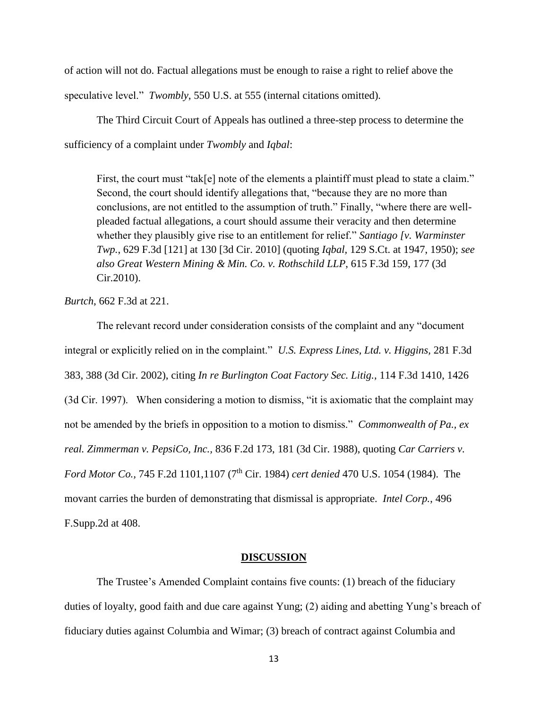of action will not do. Factual allegations must be enough to raise a right to relief above the

speculative level." *Twombly*, 550 U.S. at 555 (internal citations omitted).

The Third Circuit Court of Appeals has outlined a three-step process to determine the sufficiency of a complaint under *Twombly* and *Iqbal*:

First, the court must "tak[e] note of the elements a plaintiff must plead to state a claim." Second, the court should identify allegations that, "because they are no more than conclusions, are not entitled to the assumption of truth." Finally, "where there are wellpleaded factual allegations, a court should assume their veracity and then determine whether they plausibly give rise to an entitlement for relief." *Santiago [v. Warminster Twp.*, 629 F.3d [121] at 130 [3d Cir. 2010] (quoting *Iqbal,* 129 S.Ct. at 1947, 1950); *see also Great Western Mining & Min. Co. v. Rothschild LLP*, 615 F.3d 159, 177 (3d Cir.2010).

*Burtch*, 662 F.3d at 221.

The relevant record under consideration consists of the complaint and any "document integral or explicitly relied on in the complaint." *U.S. Express Lines, Ltd. v. Higgins,* 281 F.3d 383, 388 (3d Cir. 2002), citing *In re Burlington Coat Factory Sec. Litig.,* 114 F.3d 1410, 1426 (3d Cir. 1997). When considering a motion to dismiss, "it is axiomatic that the complaint may not be amended by the briefs in opposition to a motion to dismiss." *Commonwealth of Pa., ex real. Zimmerman v. PepsiCo, Inc.,* 836 F.2d 173, 181 (3d Cir. 1988), quoting *Car Carriers v. Ford Motor Co.,* 745 F.2d 1101,1107 (7<sup>th</sup> Cir. 1984) *cert denied* 470 U.S. 1054 (1984). The movant carries the burden of demonstrating that dismissal is appropriate. *Intel Corp.*, 496 F.Supp.2d at 408.

#### **DISCUSSION**

The Trustee's Amended Complaint contains five counts: (1) breach of the fiduciary duties of loyalty, good faith and due care against Yung; (2) aiding and abetting Yung's breach of fiduciary duties against Columbia and Wimar; (3) breach of contract against Columbia and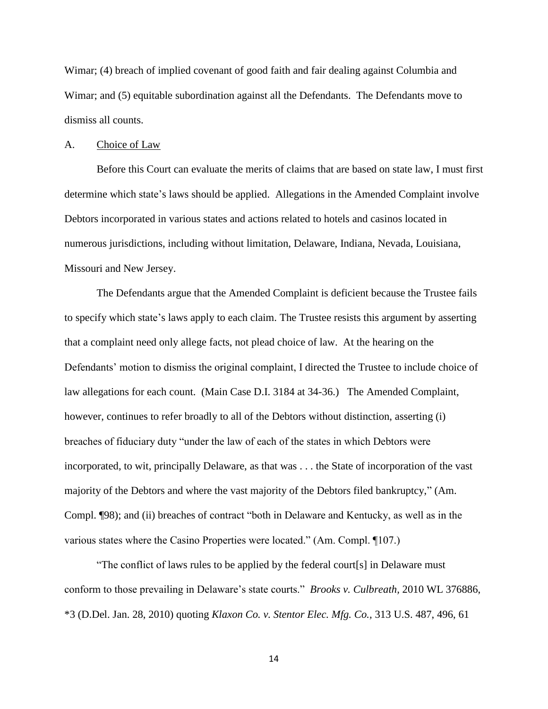Wimar; (4) breach of implied covenant of good faith and fair dealing against Columbia and Wimar; and (5) equitable subordination against all the Defendants. The Defendants move to dismiss all counts.

#### A. Choice of Law

Before this Court can evaluate the merits of claims that are based on state law, I must first determine which state's laws should be applied. Allegations in the Amended Complaint involve Debtors incorporated in various states and actions related to hotels and casinos located in numerous jurisdictions, including without limitation, Delaware, Indiana, Nevada, Louisiana, Missouri and New Jersey.

The Defendants argue that the Amended Complaint is deficient because the Trustee fails to specify which state's laws apply to each claim. The Trustee resists this argument by asserting that a complaint need only allege facts, not plead choice of law. At the hearing on the Defendants' motion to dismiss the original complaint, I directed the Trustee to include choice of law allegations for each count. (Main Case D.I. 3184 at 34-36.) The Amended Complaint, however, continues to refer broadly to all of the Debtors without distinction, asserting (i) breaches of fiduciary duty "under the law of each of the states in which Debtors were incorporated, to wit, principally Delaware, as that was . . . the State of incorporation of the vast majority of the Debtors and where the vast majority of the Debtors filed bankruptcy," (Am. Compl. ¶98); and (ii) breaches of contract "both in Delaware and Kentucky, as well as in the various states where the Casino Properties were located." (Am. Compl. ¶107.)

"The conflict of laws rules to be applied by the federal court[s] in Delaware must conform to those prevailing in Delaware's state courts." *Brooks v. Culbreath,* 2010 WL 376886, \*3 (D.Del. Jan. 28, 2010) quoting *Klaxon Co. v. Stentor Elec. Mfg. Co.,* 313 U.S. 487, 496, 61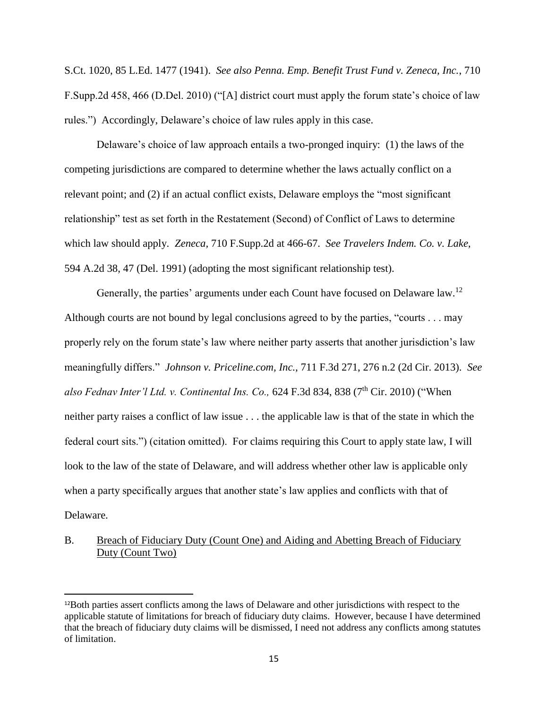S.Ct. 1020, 85 L.Ed. 1477 (1941). *See also Penna. Emp. Benefit Trust Fund v. Zeneca, Inc.*, 710 F.Supp.2d 458, 466 (D.Del. 2010) ("[A] district court must apply the forum state's choice of law rules.") Accordingly, Delaware's choice of law rules apply in this case.

Delaware's choice of law approach entails a two-pronged inquiry: (1) the laws of the competing jurisdictions are compared to determine whether the laws actually conflict on a relevant point; and (2) if an actual conflict exists, Delaware employs the "most significant relationship" test as set forth in the Restatement (Second) of Conflict of Laws to determine which law should apply. *Zeneca,* 710 F.Supp.2d at 466-67. *See Travelers Indem. Co. v. Lake,* 594 A.2d 38, 47 (Del. 1991) (adopting the most significant relationship test).

Generally, the parties' arguments under each Count have focused on Delaware law.<sup>12</sup> Although courts are not bound by legal conclusions agreed to by the parties, "courts . . . may properly rely on the forum state's law where neither party asserts that another jurisdiction's law meaningfully differs." *Johnson v. Priceline.com, Inc.,* 711 F.3d 271, 276 n.2 (2d Cir. 2013). *See*  also Fednav Inter'l Ltd. v. Continental Ins. Co., 624 F.3d 834, 838 (7<sup>th</sup> Cir. 2010) ("When neither party raises a conflict of law issue . . . the applicable law is that of the state in which the federal court sits.") (citation omitted). For claims requiring this Court to apply state law, I will look to the law of the state of Delaware, and will address whether other law is applicable only when a party specifically argues that another state's law applies and conflicts with that of Delaware.

# B. Breach of Fiduciary Duty (Count One) and Aiding and Abetting Breach of Fiduciary Duty (Count Two)

<sup>12</sup>Both parties assert conflicts among the laws of Delaware and other jurisdictions with respect to the applicable statute of limitations for breach of fiduciary duty claims. However, because I have determined that the breach of fiduciary duty claims will be dismissed, I need not address any conflicts among statutes of limitation.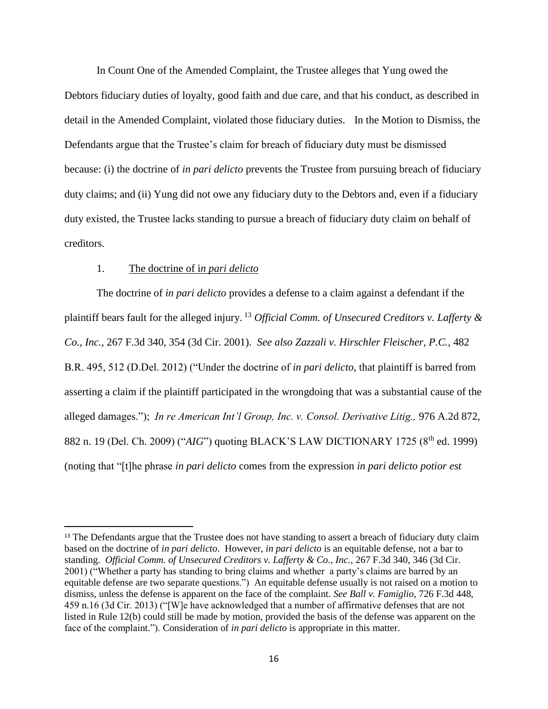In Count One of the Amended Complaint, the Trustee alleges that Yung owed the Debtors fiduciary duties of loyalty, good faith and due care, and that his conduct, as described in detail in the Amended Complaint, violated those fiduciary duties. In the Motion to Dismiss, the Defendants argue that the Trustee's claim for breach of fiduciary duty must be dismissed because: (i) the doctrine of *in pari delicto* prevents the Trustee from pursuing breach of fiduciary duty claims; and (ii) Yung did not owe any fiduciary duty to the Debtors and, even if a fiduciary duty existed, the Trustee lacks standing to pursue a breach of fiduciary duty claim on behalf of creditors.

### 1. The doctrine of i*n pari delicto*

l

The doctrine of *in pari delicto* provides a defense to a claim against a defendant if the plaintiff bears fault for the alleged injury. <sup>13</sup> *Official Comm. of Unsecured Creditors v. Lafferty & Co., Inc.,* 267 F.3d 340, 354 (3d Cir. 2001). *See also Zazzali v. Hirschler Fleischer, P.C.,* 482 B.R. 495, 512 (D.Del. 2012) ("Under the doctrine of *in pari delicto*, that plaintiff is barred from asserting a claim if the plaintiff participated in the wrongdoing that was a substantial cause of the alleged damages."); *In re American Int'l Group, Inc. v. Consol. Derivative Litig.,* 976 A.2d 872, 882 n. 19 (Del. Ch. 2009) ("*AIG*") quoting BLACK'S LAW DICTIONARY 1725 (8th ed. 1999) (noting that "[t]he phrase *in pari delicto* comes from the expression *in pari delicto potior est* 

<sup>&</sup>lt;sup>13</sup> The Defendants argue that the Trustee does not have standing to assert a breach of fiduciary duty claim based on the doctrine of *in pari delicto*. However, *in pari delicto* is an equitable defense, not a bar to standing. *Official Comm. of Unsecured Creditors v. Lafferty & Co., Inc.,* 267 F.3d 340, 346 (3d Cir. 2001) ("Whether a party has standing to bring claims and whether a party's claims are barred by an equitable defense are two separate questions.") An equitable defense usually is not raised on a motion to dismiss, unless the defense is apparent on the face of the complaint. *See Ball v. Famiglio*, 726 F.3d 448, 459 n.16 (3d Cir. 2013) ("[W]e have acknowledged that a number of affirmative defenses that are not listed in Rule 12(b) could still be made by motion, provided the basis of the defense was apparent on the face of the complaint."). Consideration of *in pari delicto* is appropriate in this matter.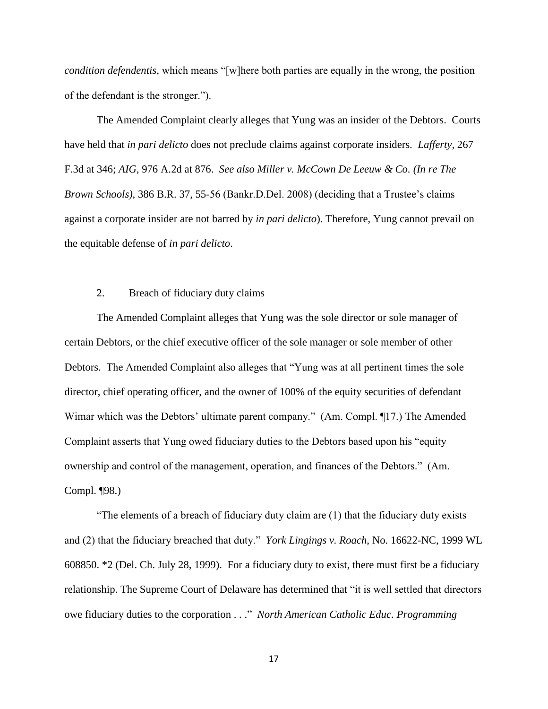*condition defendentis,* which means "[w]here both parties are equally in the wrong, the position of the defendant is the stronger.").

The Amended Complaint clearly alleges that Yung was an insider of the Debtors. Courts have held that *in pari delicto* does not preclude claims against corporate insiders. *Lafferty,* 267 F.3d at 346; *AIG,* 976 A.2d at 876. *See also Miller v. McCown De Leeuw & Co. (In re The Brown Schools)*, 386 B.R. 37, 55-56 (Bankr.D.Del. 2008) (deciding that a Trustee's claims against a corporate insider are not barred by *in pari delicto*). Therefore, Yung cannot prevail on the equitable defense of *in pari delicto*.

### 2. Breach of fiduciary duty claims

The Amended Complaint alleges that Yung was the sole director or sole manager of certain Debtors, or the chief executive officer of the sole manager or sole member of other Debtors. The Amended Complaint also alleges that "Yung was at all pertinent times the sole director, chief operating officer, and the owner of 100% of the equity securities of defendant Wimar which was the Debtors' ultimate parent company." (Am. Compl. ¶17.) The Amended Complaint asserts that Yung owed fiduciary duties to the Debtors based upon his "equity ownership and control of the management, operation, and finances of the Debtors." (Am. Compl. ¶98.)

"The elements of a breach of fiduciary duty claim are (1) that the fiduciary duty exists and (2) that the fiduciary breached that duty." *York Lingings v. Roach*, No. 16622-NC, 1999 WL 608850. \*2 (Del. Ch. July 28, 1999). For a fiduciary duty to exist, there must first be a fiduciary relationship. The Supreme Court of Delaware has determined that "it is well settled that directors owe fiduciary duties to the corporation . . ." *North American Catholic Educ. Programming*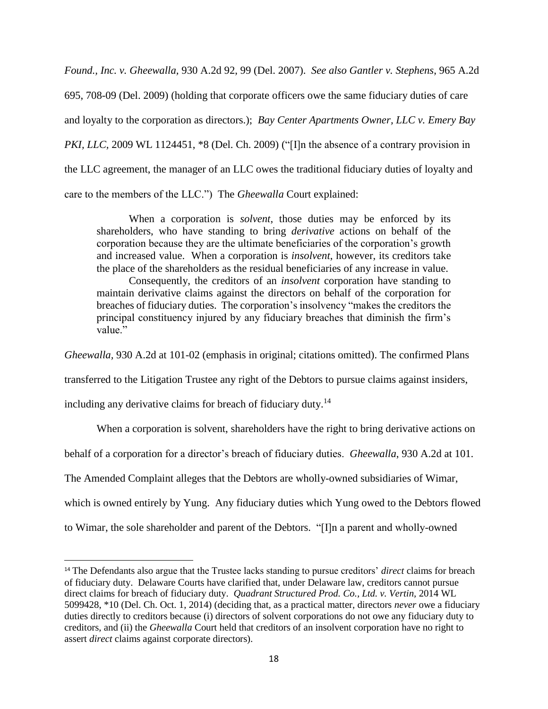*Found., Inc. v. Gheewalla,* 930 A.2d 92, 99 (Del. 2007). *See also Gantler v. Stephens*, 965 A.2d 695, 708-09 (Del. 2009) (holding that corporate officers owe the same fiduciary duties of care and loyalty to the corporation as directors.); *Bay Center Apartments Owner, LLC v. Emery Bay PKI, LLC, 2009 WL 1124451, \*8 (Del. Ch. 2009)* ("[I]n the absence of a contrary provision in the LLC agreement, the manager of an LLC owes the traditional fiduciary duties of loyalty and care to the members of the LLC.") The *Gheewalla* Court explained:

When a corporation is *solvent*, those duties may be enforced by its shareholders, who have standing to bring *derivative* actions on behalf of the corporation because they are the ultimate beneficiaries of the corporation's growth and increased value. When a corporation is *insolvent*, however, its creditors take the place of the shareholders as the residual beneficiaries of any increase in value.

Consequently, the creditors of an *insolvent* corporation have standing to maintain derivative claims against the directors on behalf of the corporation for breaches of fiduciary duties. The corporation's insolvency "makes the creditors the principal constituency injured by any fiduciary breaches that diminish the firm's value"

*Gheewalla,* 930 A.2d at 101-02 (emphasis in original; citations omitted). The confirmed Plans

transferred to the Litigation Trustee any right of the Debtors to pursue claims against insiders,

including any derivative claims for breach of fiduciary duty.<sup>14</sup>

 $\overline{\phantom{a}}$ 

When a corporation is solvent, shareholders have the right to bring derivative actions on

behalf of a corporation for a director's breach of fiduciary duties. *Gheewalla*, 930 A.2d at 101.

The Amended Complaint alleges that the Debtors are wholly-owned subsidiaries of Wimar,

which is owned entirely by Yung. Any fiduciary duties which Yung owed to the Debtors flowed

to Wimar, the sole shareholder and parent of the Debtors. "[I]n a parent and wholly-owned

<sup>14</sup> The Defendants also argue that the Trustee lacks standing to pursue creditors' *direct* claims for breach of fiduciary duty. Delaware Courts have clarified that, under Delaware law, creditors cannot pursue direct claims for breach of fiduciary duty. *Quadrant Structured Prod. Co., Ltd. v. Vertin,* 2014 WL 5099428, \*10 (Del. Ch. Oct. 1, 2014) (deciding that, as a practical matter, directors *never* owe a fiduciary duties directly to creditors because (i) directors of solvent corporations do not owe any fiduciary duty to creditors, and (ii) the *Gheewalla* Court held that creditors of an insolvent corporation have no right to assert *direct* claims against corporate directors).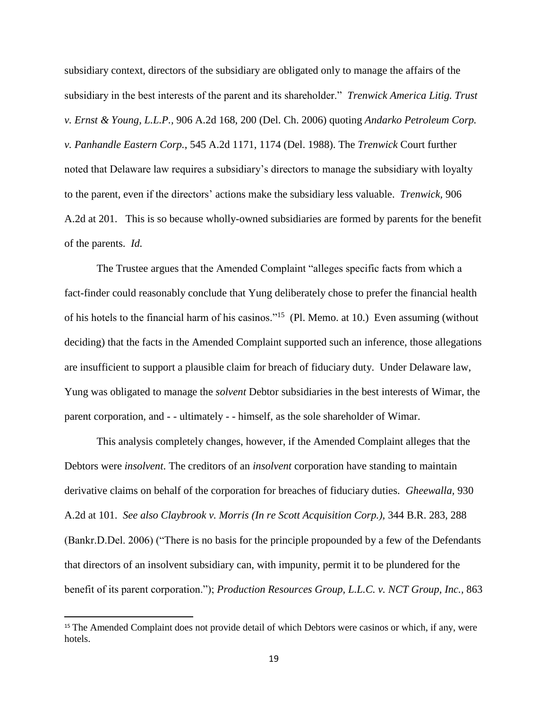subsidiary context, directors of the subsidiary are obligated only to manage the affairs of the subsidiary in the best interests of the parent and its shareholder." *Trenwick America Litig. Trust v. Ernst & Young, L.L.P.,* 906 A.2d 168, 200 (Del. Ch. 2006) quoting *Andarko Petroleum Corp. v. Panhandle Eastern Corp.*, 545 A.2d 1171, 1174 (Del. 1988). The *Trenwick* Court further noted that Delaware law requires a subsidiary's directors to manage the subsidiary with loyalty to the parent, even if the directors' actions make the subsidiary less valuable. *Trenwick,* 906 A.2d at 201. This is so because wholly-owned subsidiaries are formed by parents for the benefit of the parents. *Id.*

The Trustee argues that the Amended Complaint "alleges specific facts from which a fact-finder could reasonably conclude that Yung deliberately chose to prefer the financial health of his hotels to the financial harm of his casinos."<sup>15</sup> (Pl. Memo. at 10.) Even assuming (without deciding) that the facts in the Amended Complaint supported such an inference, those allegations are insufficient to support a plausible claim for breach of fiduciary duty. Under Delaware law, Yung was obligated to manage the *solvent* Debtor subsidiaries in the best interests of Wimar, the parent corporation, and - - ultimately - - himself, as the sole shareholder of Wimar.

This analysis completely changes, however, if the Amended Complaint alleges that the Debtors were *insolvent*. The creditors of an *insolvent* corporation have standing to maintain derivative claims on behalf of the corporation for breaches of fiduciary duties. *Gheewalla,* 930 A.2d at 101. *See also Claybrook v. Morris (In re Scott Acquisition Corp.),* 344 B.R. 283, 288 (Bankr.D.Del. 2006) ("There is no basis for the principle propounded by a few of the Defendants that directors of an insolvent subsidiary can, with impunity, permit it to be plundered for the benefit of its parent corporation."); *Production Resources Group, L.L.C. v. NCT Group, Inc.,* 863

 $\overline{a}$ 

<sup>&</sup>lt;sup>15</sup> The Amended Complaint does not provide detail of which Debtors were casinos or which, if any, were hotels.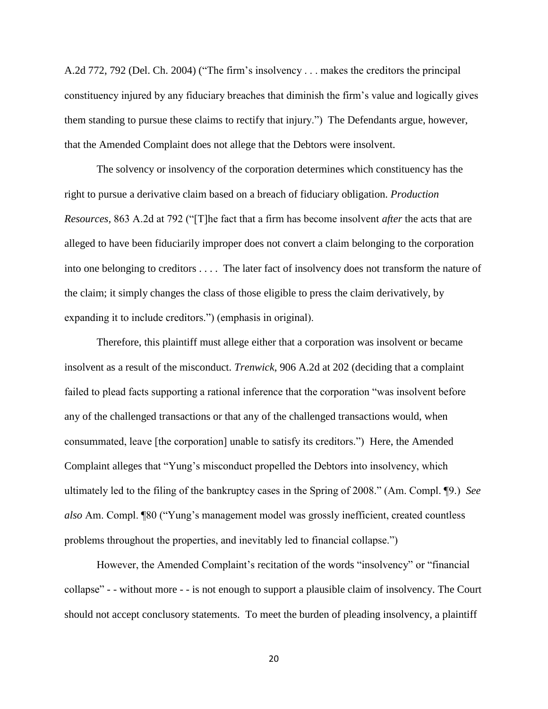A.2d 772, 792 (Del. Ch. 2004) ("The firm's insolvency . . . makes the creditors the principal constituency injured by any fiduciary breaches that diminish the firm's value and logically gives them standing to pursue these claims to rectify that injury.") The Defendants argue, however, that the Amended Complaint does not allege that the Debtors were insolvent.

The solvency or insolvency of the corporation determines which constituency has the right to pursue a derivative claim based on a breach of fiduciary obligation. *Production Resources,* 863 A.2d at 792 ("[T]he fact that a firm has become insolvent *after* the acts that are alleged to have been fiduciarily improper does not convert a claim belonging to the corporation into one belonging to creditors . . . . The later fact of insolvency does not transform the nature of the claim; it simply changes the class of those eligible to press the claim derivatively, by expanding it to include creditors.") (emphasis in original).

Therefore, this plaintiff must allege either that a corporation was insolvent or became insolvent as a result of the misconduct. *Trenwick*, 906 A.2d at 202 (deciding that a complaint failed to plead facts supporting a rational inference that the corporation "was insolvent before any of the challenged transactions or that any of the challenged transactions would, when consummated, leave [the corporation] unable to satisfy its creditors.") Here, the Amended Complaint alleges that "Yung's misconduct propelled the Debtors into insolvency, which ultimately led to the filing of the bankruptcy cases in the Spring of 2008." (Am. Compl. ¶9.) *See also* Am. Compl. ¶80 ("Yung's management model was grossly inefficient, created countless problems throughout the properties, and inevitably led to financial collapse.")

However, the Amended Complaint's recitation of the words "insolvency" or "financial collapse" - - without more - - is not enough to support a plausible claim of insolvency. The Court should not accept conclusory statements. To meet the burden of pleading insolvency, a plaintiff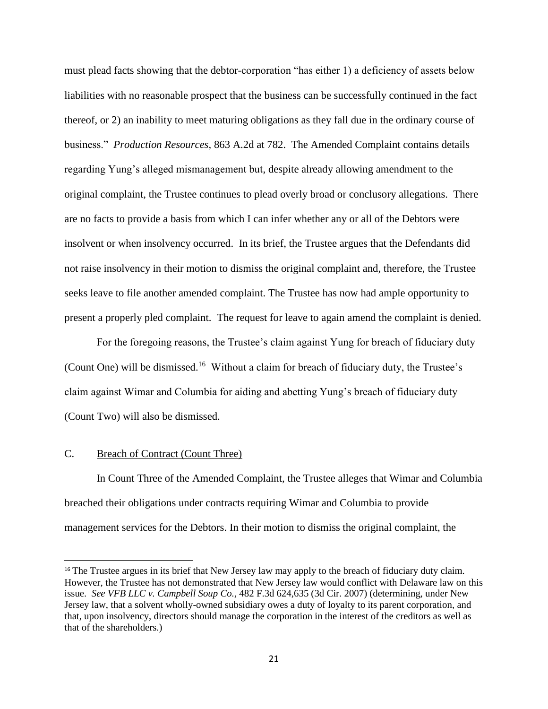must plead facts showing that the debtor-corporation "has either 1) a deficiency of assets below liabilities with no reasonable prospect that the business can be successfully continued in the fact thereof, or 2) an inability to meet maturing obligations as they fall due in the ordinary course of business." *Production Resources,* 863 A.2d at 782. The Amended Complaint contains details regarding Yung's alleged mismanagement but, despite already allowing amendment to the original complaint, the Trustee continues to plead overly broad or conclusory allegations. There are no facts to provide a basis from which I can infer whether any or all of the Debtors were insolvent or when insolvency occurred. In its brief, the Trustee argues that the Defendants did not raise insolvency in their motion to dismiss the original complaint and, therefore, the Trustee seeks leave to file another amended complaint. The Trustee has now had ample opportunity to present a properly pled complaint. The request for leave to again amend the complaint is denied.

For the foregoing reasons, the Trustee's claim against Yung for breach of fiduciary duty (Count One) will be dismissed.<sup>16</sup> Without a claim for breach of fiduciary duty, the Trustee's claim against Wimar and Columbia for aiding and abetting Yung's breach of fiduciary duty (Count Two) will also be dismissed.

# C. Breach of Contract (Count Three)

 $\overline{\phantom{a}}$ 

In Count Three of the Amended Complaint, the Trustee alleges that Wimar and Columbia breached their obligations under contracts requiring Wimar and Columbia to provide management services for the Debtors. In their motion to dismiss the original complaint, the

<sup>&</sup>lt;sup>16</sup> The Trustee argues in its brief that New Jersey law may apply to the breach of fiduciary duty claim. However, the Trustee has not demonstrated that New Jersey law would conflict with Delaware law on this issue. *See VFB LLC v. Campbell Soup Co.,* 482 F.3d 624,635 (3d Cir. 2007) (determining, under New Jersey law, that a solvent wholly-owned subsidiary owes a duty of loyalty to its parent corporation, and that, upon insolvency, directors should manage the corporation in the interest of the creditors as well as that of the shareholders.)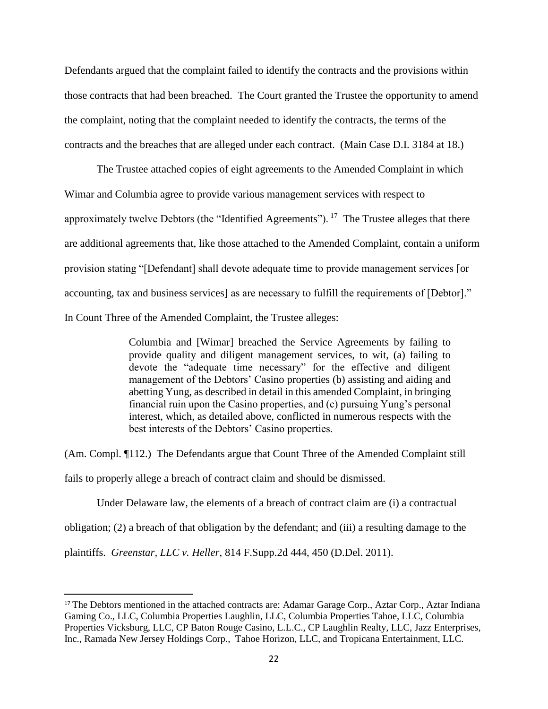Defendants argued that the complaint failed to identify the contracts and the provisions within those contracts that had been breached. The Court granted the Trustee the opportunity to amend the complaint, noting that the complaint needed to identify the contracts, the terms of the contracts and the breaches that are alleged under each contract. (Main Case D.I. 3184 at 18.)

The Trustee attached copies of eight agreements to the Amended Complaint in which Wimar and Columbia agree to provide various management services with respect to approximately twelve Debtors (the "Identified Agreements").  $^{17}$  The Trustee alleges that there are additional agreements that, like those attached to the Amended Complaint, contain a uniform provision stating "[Defendant] shall devote adequate time to provide management services [or accounting, tax and business services] as are necessary to fulfill the requirements of [Debtor]." In Count Three of the Amended Complaint, the Trustee alleges:

> Columbia and [Wimar] breached the Service Agreements by failing to provide quality and diligent management services, to wit, (a) failing to devote the "adequate time necessary" for the effective and diligent management of the Debtors' Casino properties (b) assisting and aiding and abetting Yung, as described in detail in this amended Complaint, in bringing financial ruin upon the Casino properties, and (c) pursuing Yung's personal interest, which, as detailed above, conflicted in numerous respects with the best interests of the Debtors' Casino properties.

(Am. Compl. ¶112.) The Defendants argue that Count Three of the Amended Complaint still

fails to properly allege a breach of contract claim and should be dismissed.

Under Delaware law, the elements of a breach of contract claim are (i) a contractual

obligation; (2) a breach of that obligation by the defendant; and (iii) a resulting damage to the

plaintiffs. *Greenstar, LLC v. Heller*, 814 F.Supp.2d 444, 450 (D.Del. 2011).

<sup>&</sup>lt;sup>17</sup> The Debtors mentioned in the attached contracts are: Adamar Garage Corp., Aztar Corp., Aztar Indiana Gaming Co., LLC, Columbia Properties Laughlin, LLC, Columbia Properties Tahoe, LLC, Columbia Properties Vicksburg, LLC, CP Baton Rouge Casino, L.L.C., CP Laughlin Realty, LLC, Jazz Enterprises, Inc., Ramada New Jersey Holdings Corp., Tahoe Horizon, LLC, and Tropicana Entertainment, LLC.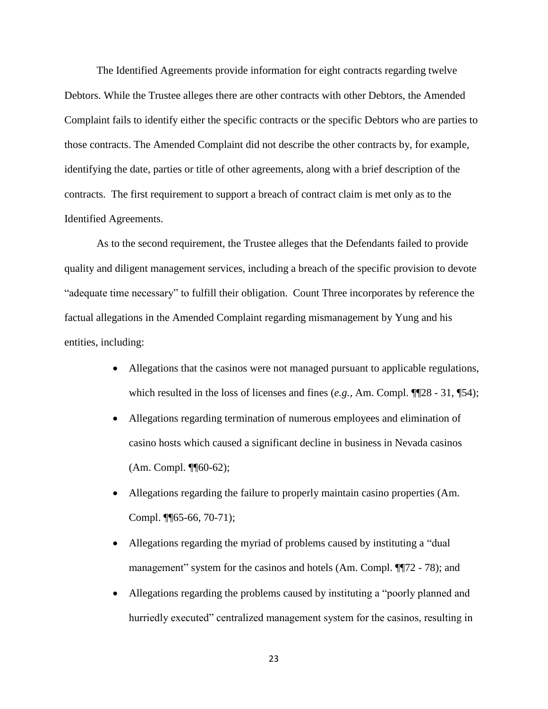The Identified Agreements provide information for eight contracts regarding twelve Debtors. While the Trustee alleges there are other contracts with other Debtors, the Amended Complaint fails to identify either the specific contracts or the specific Debtors who are parties to those contracts. The Amended Complaint did not describe the other contracts by, for example, identifying the date, parties or title of other agreements, along with a brief description of the contracts. The first requirement to support a breach of contract claim is met only as to the Identified Agreements.

As to the second requirement, the Trustee alleges that the Defendants failed to provide quality and diligent management services, including a breach of the specific provision to devote "adequate time necessary" to fulfill their obligation. Count Three incorporates by reference the factual allegations in the Amended Complaint regarding mismanagement by Yung and his entities, including:

- Allegations that the casinos were not managed pursuant to applicable regulations, which resulted in the loss of licenses and fines (*e.g.*, Am. Compl. ¶¶28 - 31, ¶54);
- Allegations regarding termination of numerous employees and elimination of casino hosts which caused a significant decline in business in Nevada casinos (Am. Compl. ¶¶60-62);
- Allegations regarding the failure to properly maintain casino properties (Am. Compl. ¶¶65-66, 70-71);
- Allegations regarding the myriad of problems caused by instituting a "dual management" system for the casinos and hotels (Am. Compl.  $\P$ [72 - 78); and
- Allegations regarding the problems caused by instituting a "poorly planned and hurriedly executed" centralized management system for the casinos, resulting in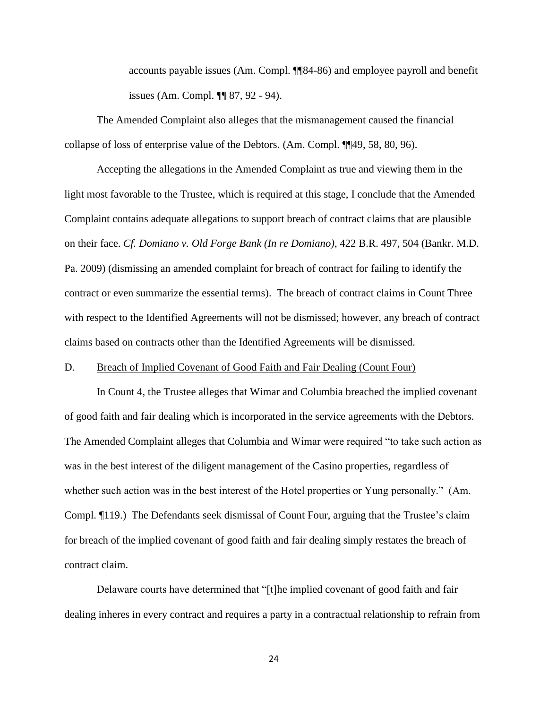accounts payable issues (Am. Compl. ¶¶84-86) and employee payroll and benefit issues (Am. Compl. ¶¶ 87, 92 - 94).

The Amended Complaint also alleges that the mismanagement caused the financial collapse of loss of enterprise value of the Debtors. (Am. Compl. ¶¶49, 58, 80, 96).

Accepting the allegations in the Amended Complaint as true and viewing them in the light most favorable to the Trustee, which is required at this stage, I conclude that the Amended Complaint contains adequate allegations to support breach of contract claims that are plausible on their face. *Cf. Domiano v. Old Forge Bank (In re Domiano)*, 422 B.R. 497, 504 (Bankr. M.D. Pa. 2009) (dismissing an amended complaint for breach of contract for failing to identify the contract or even summarize the essential terms). The breach of contract claims in Count Three with respect to the Identified Agreements will not be dismissed; however, any breach of contract claims based on contracts other than the Identified Agreements will be dismissed.

#### D. Breach of Implied Covenant of Good Faith and Fair Dealing (Count Four)

In Count 4, the Trustee alleges that Wimar and Columbia breached the implied covenant of good faith and fair dealing which is incorporated in the service agreements with the Debtors. The Amended Complaint alleges that Columbia and Wimar were required "to take such action as was in the best interest of the diligent management of the Casino properties, regardless of whether such action was in the best interest of the Hotel properties or Yung personally." (Am. Compl. ¶119.) The Defendants seek dismissal of Count Four, arguing that the Trustee's claim for breach of the implied covenant of good faith and fair dealing simply restates the breach of contract claim.

Delaware courts have determined that "[t]he implied covenant of good faith and fair dealing inheres in every contract and requires a party in a contractual relationship to refrain from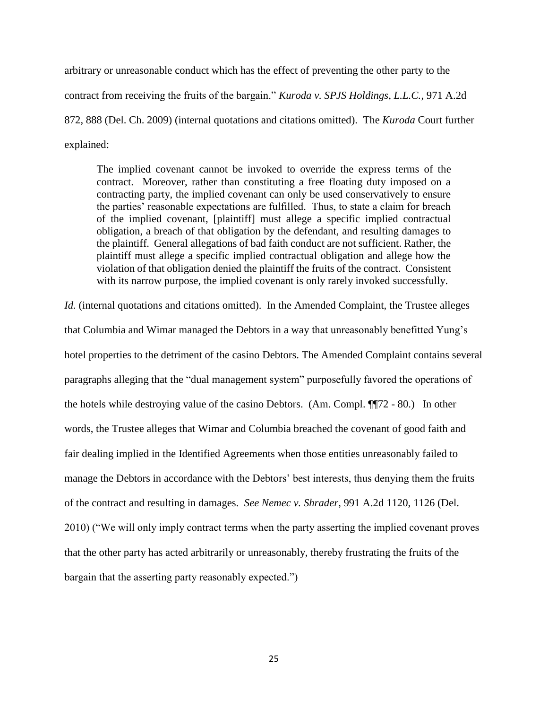arbitrary or unreasonable conduct which has the effect of preventing the other party to the contract from receiving the fruits of the bargain." *Kuroda v. SPJS Holdings, L.L.C.*, 971 A.2d 872, 888 (Del. Ch. 2009) (internal quotations and citations omitted). The *Kuroda* Court further explained:

The implied covenant cannot be invoked to override the express terms of the contract. Moreover, rather than constituting a free floating duty imposed on a contracting party, the implied covenant can only be used conservatively to ensure the parties' reasonable expectations are fulfilled. Thus, to state a claim for breach of the implied covenant, [plaintiff] must allege a specific implied contractual obligation, a breach of that obligation by the defendant, and resulting damages to the plaintiff. General allegations of bad faith conduct are not sufficient. Rather, the plaintiff must allege a specific implied contractual obligation and allege how the violation of that obligation denied the plaintiff the fruits of the contract. Consistent with its narrow purpose, the implied covenant is only rarely invoked successfully.

*Id.* (internal quotations and citations omitted). In the Amended Complaint, the Trustee alleges that Columbia and Wimar managed the Debtors in a way that unreasonably benefitted Yung's hotel properties to the detriment of the casino Debtors. The Amended Complaint contains several paragraphs alleging that the "dual management system" purposefully favored the operations of the hotels while destroying value of the casino Debtors. (Am. Compl. ¶¶72 - 80.) In other words, the Trustee alleges that Wimar and Columbia breached the covenant of good faith and fair dealing implied in the Identified Agreements when those entities unreasonably failed to manage the Debtors in accordance with the Debtors' best interests, thus denying them the fruits of the contract and resulting in damages. *See Nemec v. Shrader*, 991 A.2d 1120, 1126 (Del. 2010) ("We will only imply contract terms when the party asserting the implied covenant proves that the other party has acted arbitrarily or unreasonably, thereby frustrating the fruits of the bargain that the asserting party reasonably expected.")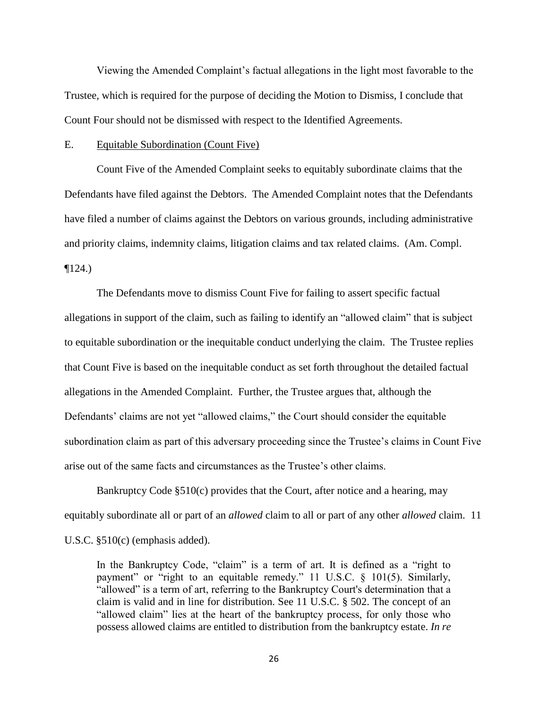Viewing the Amended Complaint's factual allegations in the light most favorable to the Trustee, which is required for the purpose of deciding the Motion to Dismiss, I conclude that Count Four should not be dismissed with respect to the Identified Agreements.

#### E. Equitable Subordination (Count Five)

Count Five of the Amended Complaint seeks to equitably subordinate claims that the Defendants have filed against the Debtors. The Amended Complaint notes that the Defendants have filed a number of claims against the Debtors on various grounds, including administrative and priority claims, indemnity claims, litigation claims and tax related claims. (Am. Compl.  $\P$ 124.)

The Defendants move to dismiss Count Five for failing to assert specific factual allegations in support of the claim, such as failing to identify an "allowed claim" that is subject to equitable subordination or the inequitable conduct underlying the claim. The Trustee replies that Count Five is based on the inequitable conduct as set forth throughout the detailed factual allegations in the Amended Complaint. Further, the Trustee argues that, although the Defendants' claims are not yet "allowed claims," the Court should consider the equitable subordination claim as part of this adversary proceeding since the Trustee's claims in Count Five arise out of the same facts and circumstances as the Trustee's other claims.

Bankruptcy Code §510(c) provides that the Court, after notice and a hearing, may equitably subordinate all or part of an *allowed* claim to all or part of any other *allowed* claim. 11 U.S.C. §510(c) (emphasis added).

In the Bankruptcy Code, "claim" is a term of art. It is defined as a "right to payment" or "right to an equitable remedy." 11 U.S.C. § 101(5). Similarly, "allowed" is a term of art, referring to the Bankruptcy Court's determination that a claim is valid and in line for distribution. See 11 U.S.C. § 502. The concept of an "allowed claim" lies at the heart of the bankruptcy process, for only those who possess allowed claims are entitled to distribution from the bankruptcy estate. *In re*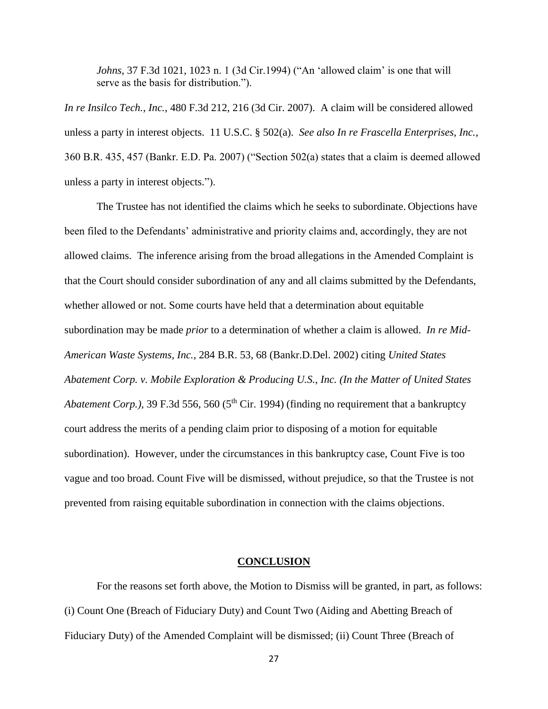*Johns*, 37 F.3d 1021, 1023 n. 1 (3d Cir.1994) ("An 'allowed claim' is one that will serve as the basis for distribution.").

*In re Insilco Tech., Inc.*, 480 F.3d 212, 216 (3d Cir. 2007). A claim will be considered allowed unless a party in interest objects. 11 U.S.C. § 502(a). *See also In re Frascella Enterprises, Inc.*, 360 B.R. 435, 457 (Bankr. E.D. Pa. 2007) ("Section 502(a) states that a claim is deemed allowed unless a party in interest objects.").

The Trustee has not identified the claims which he seeks to subordinate. Objections have been filed to the Defendants' administrative and priority claims and, accordingly, they are not allowed claims. The inference arising from the broad allegations in the Amended Complaint is that the Court should consider subordination of any and all claims submitted by the Defendants, whether allowed or not. Some courts have held that a determination about equitable subordination may be made *prior* to a determination of whether a claim is allowed. *In re Mid-American Waste Systems, Inc.,* 284 B.R. 53, 68 (Bankr.D.Del. 2002) citing *United States Abatement Corp. v. Mobile Exploration & Producing U.S., Inc. (In the Matter of United States Abatement Corp.*), 39 F.3d 556, 560 (5<sup>th</sup> Cir. 1994) (finding no requirement that a bankruptcy court address the merits of a pending claim prior to disposing of a motion for equitable subordination). However, under the circumstances in this bankruptcy case, Count Five is too vague and too broad. Count Five will be dismissed, without prejudice, so that the Trustee is not prevented from raising equitable subordination in connection with the claims objections.

#### **CONCLUSION**

For the reasons set forth above, the Motion to Dismiss will be granted, in part, as follows: (i) Count One (Breach of Fiduciary Duty) and Count Two (Aiding and Abetting Breach of Fiduciary Duty) of the Amended Complaint will be dismissed; (ii) Count Three (Breach of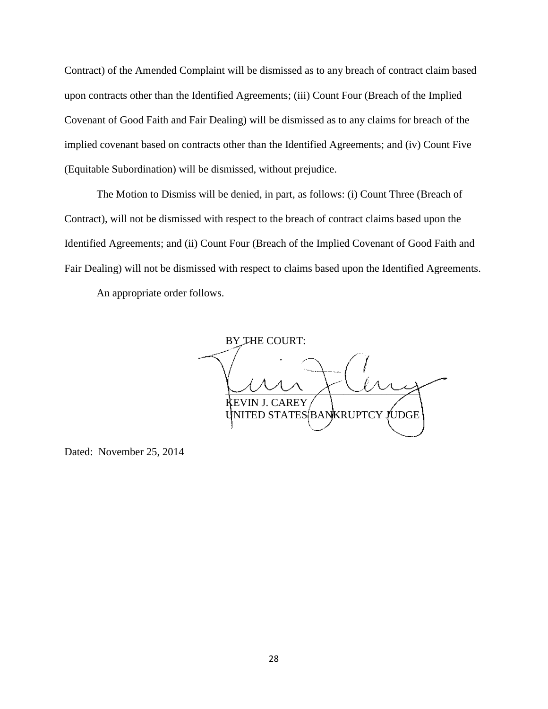Contract) of the Amended Complaint will be dismissed as to any breach of contract claim based upon contracts other than the Identified Agreements; (iii) Count Four (Breach of the Implied Covenant of Good Faith and Fair Dealing) will be dismissed as to any claims for breach of the implied covenant based on contracts other than the Identified Agreements; and (iv) Count Five (Equitable Subordination) will be dismissed, without prejudice.

The Motion to Dismiss will be denied, in part, as follows: (i) Count Three (Breach of Contract), will not be dismissed with respect to the breach of contract claims based upon the Identified Agreements; and (ii) Count Four (Breach of the Implied Covenant of Good Faith and Fair Dealing) will not be dismissed with respect to claims based upon the Identified Agreements.

An appropriate order follows.

BY THE COURT:  $\sim$   $\sim$   $\sim$   $\sim$   $\sim$ AREY TED STATES BANKRUPTCY JUDGE

Dated: November 25, 2014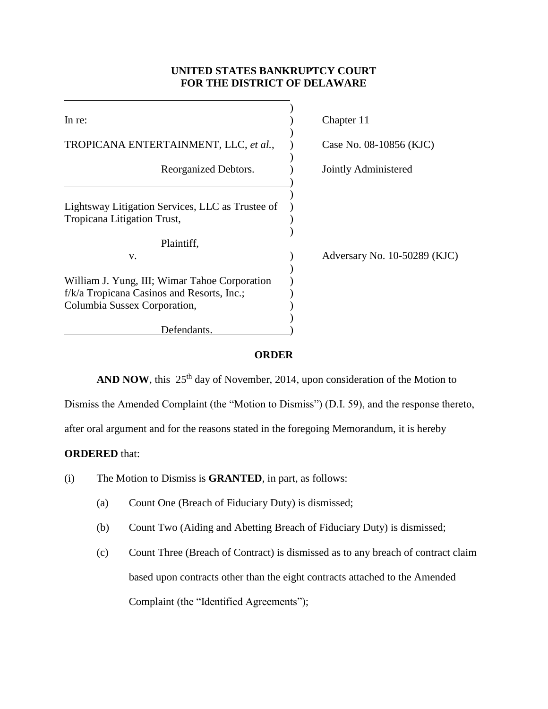# **UNITED STATES BANKRUPTCY COURT FOR THE DISTRICT OF DELAWARE**

| In re:                                                                                                                      | Chapter 11                   |
|-----------------------------------------------------------------------------------------------------------------------------|------------------------------|
| TROPICANA ENTERTAINMENT, LLC, et al.,                                                                                       | Case No. 08-10856 (KJC)      |
| Reorganized Debtors.                                                                                                        | Jointly Administered         |
| Lightsway Litigation Services, LLC as Trustee of<br>Tropicana Litigation Trust,                                             |                              |
| Plaintiff,<br>V.                                                                                                            | Adversary No. 10-50289 (KJC) |
| William J. Yung, III; Wimar Tahoe Corporation<br>f/k/a Tropicana Casinos and Resorts, Inc.;<br>Columbia Sussex Corporation, |                              |
| Defendants.                                                                                                                 |                              |

## **ORDER**

**AND NOW**, this  $25<sup>th</sup>$  day of November, 2014, upon consideration of the Motion to

Dismiss the Amended Complaint (the "Motion to Dismiss") (D.I. 59), and the response thereto,

after oral argument and for the reasons stated in the foregoing Memorandum, it is hereby

## **ORDERED** that:

- (i) The Motion to Dismiss is **GRANTED**, in part, as follows:
	- (a) Count One (Breach of Fiduciary Duty) is dismissed;
	- (b) Count Two (Aiding and Abetting Breach of Fiduciary Duty) is dismissed;
	- (c) Count Three (Breach of Contract) is dismissed as to any breach of contract claim based upon contracts other than the eight contracts attached to the Amended Complaint (the "Identified Agreements");